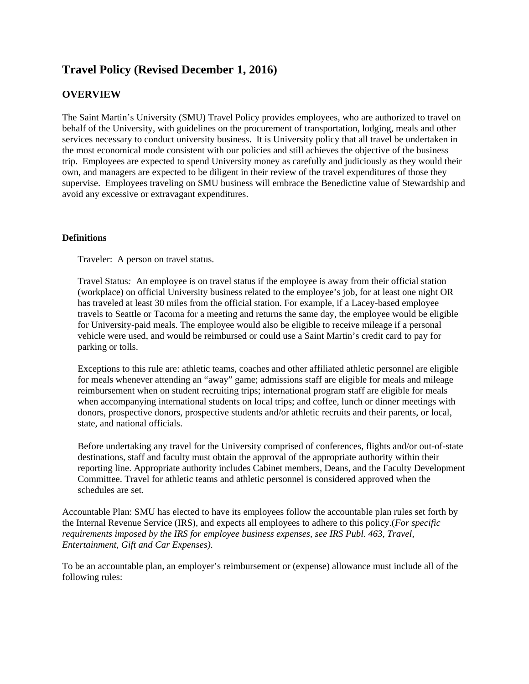# **Travel Policy (Revised December 1, 2016)**

## **OVERVIEW**

The Saint Martin's University (SMU) Travel Policy provides employees, who are authorized to travel on behalf of the University, with guidelines on the procurement of transportation, lodging, meals and other services necessary to conduct university business. It is University policy that all travel be undertaken in the most economical mode consistent with our policies and still achieves the objective of the business trip. Employees are expected to spend University money as carefully and judiciously as they would their own, and managers are expected to be diligent in their review of the travel expenditures of those they supervise. Employees traveling on SMU business will embrace the Benedictine value of Stewardship and avoid any excessive or extravagant expenditures.

## **Definitions**

Traveler:A person on travel status.

Travel Status*:* An employee is on travel status if the employee is away from their official station (workplace) on official University business related to the employee's job, for at least one night OR has traveled at least 30 miles from the official station. For example, if a Lacey-based employee travels to Seattle or Tacoma for a meeting and returns the same day, the employee would be eligible for University-paid meals. The employee would also be eligible to receive mileage if a personal vehicle were used, and would be reimbursed or could use a Saint Martin's credit card to pay for parking or tolls.

Exceptions to this rule are: athletic teams, coaches and other affiliated athletic personnel are eligible for meals whenever attending an "away" game; admissions staff are eligible for meals and mileage reimbursement when on student recruiting trips; international program staff are eligible for meals when accompanying international students on local trips; and coffee, lunch or dinner meetings with donors, prospective donors, prospective students and/or athletic recruits and their parents, or local, state, and national officials.

Before undertaking any travel for the University comprised of conferences, flights and/or out-of-state destinations, staff and faculty must obtain the approval of the appropriate authority within their reporting line. Appropriate authority includes Cabinet members, Deans, and the Faculty Development Committee. Travel for athletic teams and athletic personnel is considered approved when the schedules are set.

Accountable Plan: SMU has elected to have its employees follow the accountable plan rules set forth by the Internal Revenue Service (IRS), and expects all employees to adhere to this policy.(*For specific requirements imposed by the IRS for employee business expenses, see IRS Publ. 463, Travel, Entertainment, Gift and Car Expenses).* 

To be an accountable plan, an employer's reimbursement or (expense) allowance must include all of the following rules: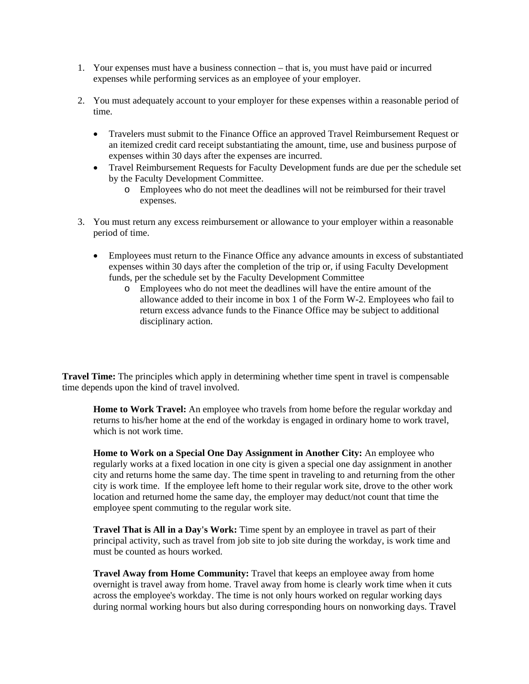- 1. Your expenses must have a business connection that is, you must have paid or incurred expenses while performing services as an employee of your employer.
- 2. You must adequately account to your employer for these expenses within a reasonable period of time.
	- Travelers must submit to the Finance Office an approved Travel Reimbursement Request or an itemized credit card receipt substantiating the amount, time, use and business purpose of expenses within 30 days after the expenses are incurred.
	- Travel Reimbursement Requests for Faculty Development funds are due per the schedule set by the Faculty Development Committee.
		- o Employees who do not meet the deadlines will not be reimbursed for their travel expenses.
- 3. You must return any excess reimbursement or allowance to your employer within a reasonable period of time.
	- Employees must return to the Finance Office any advance amounts in excess of substantiated expenses within 30 days after the completion of the trip or, if using Faculty Development funds, per the schedule set by the Faculty Development Committee
		- o Employees who do not meet the deadlines will have the entire amount of the allowance added to their income in box 1 of the Form W-2. Employees who fail to return excess advance funds to the Finance Office may be subject to additional disciplinary action.

**Travel Time:** The principles which apply in determining whether time spent in travel is compensable time depends upon the kind of travel involved.

**Home to Work Travel:** An employee who travels from home before the regular workday and returns to his/her home at the end of the workday is engaged in ordinary home to work travel, which is not work time.

**Home to Work on a Special One Day Assignment in Another City:** An employee who regularly works at a fixed location in one city is given a special one day assignment in another city and returns home the same day. The time spent in traveling to and returning from the other city is work time. If the employee left home to their regular work site, drove to the other work location and returned home the same day, the employer may deduct/not count that time the employee spent commuting to the regular work site.

**Travel That is All in a Day's Work:** Time spent by an employee in travel as part of their principal activity, such as travel from job site to job site during the workday, is work time and must be counted as hours worked.

**Travel Away from Home Community:** Travel that keeps an employee away from home overnight is travel away from home. Travel away from home is clearly work time when it cuts across the employee's workday. The time is not only hours worked on regular working days during normal working hours but also during corresponding hours on nonworking days. Travel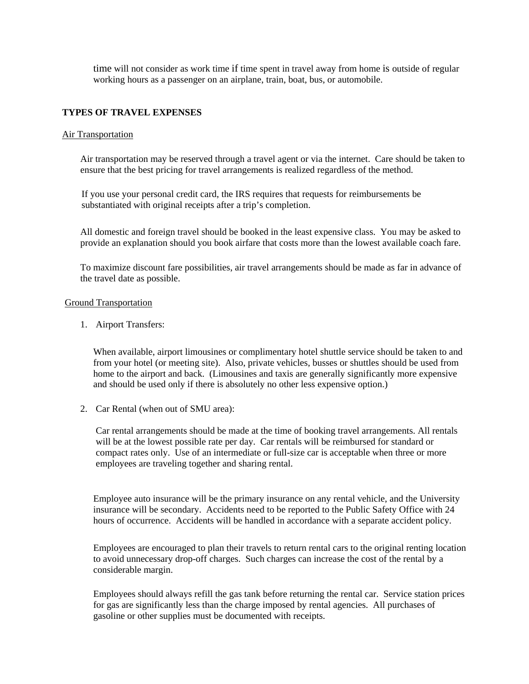time will not consider as work time if time spent in travel away from home is outside of regular working hours as a passenger on an airplane, train, boat, bus, or automobile.

#### **TYPES OF TRAVEL EXPENSES**

#### Air Transportation

Air transportation may be reserved through a travel agent or via the internet. Care should be taken to ensure that the best pricing for travel arrangements is realized regardless of the method.

If you use your personal credit card, the IRS requires that requests for reimbursements be substantiated with original receipts after a trip's completion.

All domestic and foreign travel should be booked in the least expensive class. You may be asked to provide an explanation should you book airfare that costs more than the lowest available coach fare.

To maximize discount fare possibilities, air travel arrangements should be made as far in advance of the travel date as possible.

#### Ground Transportation

1. Airport Transfers:

When available, airport limousines or complimentary hotel shuttle service should be taken to and from your hotel (or meeting site). Also, private vehicles, busses or shuttles should be used from home to the airport and back. (Limousines and taxis are generally significantly more expensive and should be used only if there is absolutely no other less expensive option.)

2. Car Rental (when out of SMU area):

Car rental arrangements should be made at the time of booking travel arrangements. All rentals will be at the lowest possible rate per day. Car rentals will be reimbursed for standard or compact rates only. Use of an intermediate or full-size car is acceptable when three or more employees are traveling together and sharing rental.

Employee auto insurance will be the primary insurance on any rental vehicle, and the University insurance will be secondary. Accidents need to be reported to the Public Safety Office with 24 hours of occurrence. Accidents will be handled in accordance with a separate accident policy.

Employees are encouraged to plan their travels to return rental cars to the original renting location to avoid unnecessary drop-off charges. Such charges can increase the cost of the rental by a considerable margin.

Employees should always refill the gas tank before returning the rental car. Service station prices for gas are significantly less than the charge imposed by rental agencies. All purchases of gasoline or other supplies must be documented with receipts.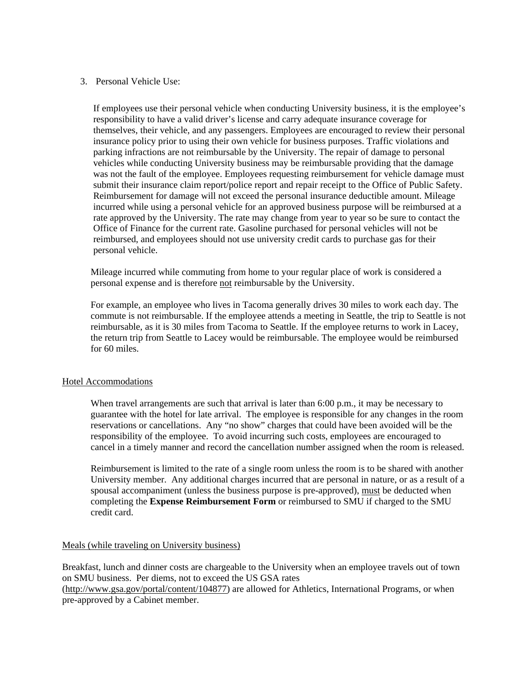## 3. Personal Vehicle Use:

If employees use their personal vehicle when conducting University business, it is the employee's responsibility to have a valid driver's license and carry adequate insurance coverage for themselves, their vehicle, and any passengers. Employees are encouraged to review their personal insurance policy prior to using their own vehicle for business purposes. Traffic violations and parking infractions are not reimbursable by the University. The repair of damage to personal vehicles while conducting University business may be reimbursable providing that the damage was not the fault of the employee. Employees requesting reimbursement for vehicle damage must submit their insurance claim report/police report and repair receipt to the Office of Public Safety. Reimbursement for damage will not exceed the personal insurance deductible amount. Mileage incurred while using a personal vehicle for an approved business purpose will be reimbursed at a rate approved by the University. The rate may change from year to year so be sure to contact the Office of Finance for the current rate. Gasoline purchased for personal vehicles will not be reimbursed, and employees should not use university credit cards to purchase gas for their personal vehicle.

Mileage incurred while commuting from home to your regular place of work is considered a personal expense and is therefore not reimbursable by the University.

For example, an employee who lives in Tacoma generally drives 30 miles to work each day. The commute is not reimbursable. If the employee attends a meeting in Seattle, the trip to Seattle is not reimbursable, as it is 30 miles from Tacoma to Seattle. If the employee returns to work in Lacey, the return trip from Seattle to Lacey would be reimbursable. The employee would be reimbursed for 60 miles.

#### Hotel Accommodations

When travel arrangements are such that arrival is later than 6:00 p.m., it may be necessary to guarantee with the hotel for late arrival. The employee is responsible for any changes in the room reservations or cancellations. Any "no show" charges that could have been avoided will be the responsibility of the employee. To avoid incurring such costs, employees are encouraged to cancel in a timely manner and record the cancellation number assigned when the room is released.

Reimbursement is limited to the rate of a single room unless the room is to be shared with another University member. Any additional charges incurred that are personal in nature, or as a result of a spousal accompaniment (unless the business purpose is pre-approved), must be deducted when completing the **Expense Reimbursement Form** or reimbursed to SMU if charged to the SMU credit card.

#### Meals (while traveling on University business)

Breakfast, lunch and dinner costs are chargeable to the University when an employee travels out of town on SMU business. Per diems, not to exceed the US GSA rates

(http://www.gsa.gov/portal/content/104877) are allowed for Athletics, International Programs, or when pre-approved by a Cabinet member.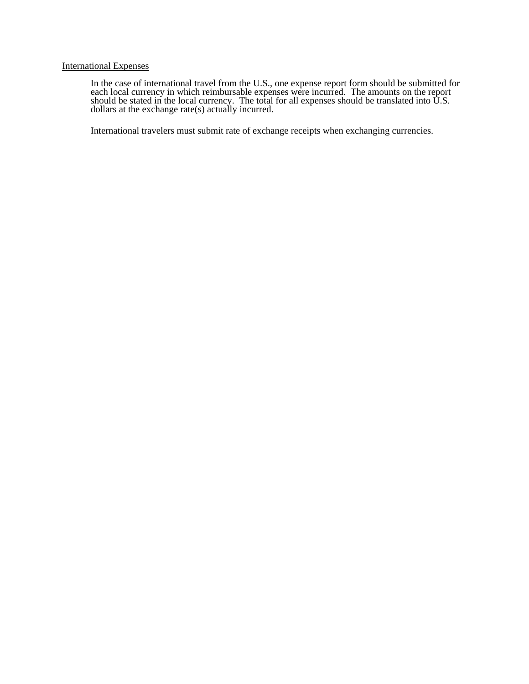### International Expenses

In the case of international travel from the U.S., one expense report form should be submitted for each local currency in which reimbursable expenses were incurred. The amounts on the report should be stated in the local currency. The total for all expenses should be translated into  $\dot{U}$ .S. dollars at the exchange rate(s) actually incurred.

International travelers must submit rate of exchange receipts when exchanging currencies.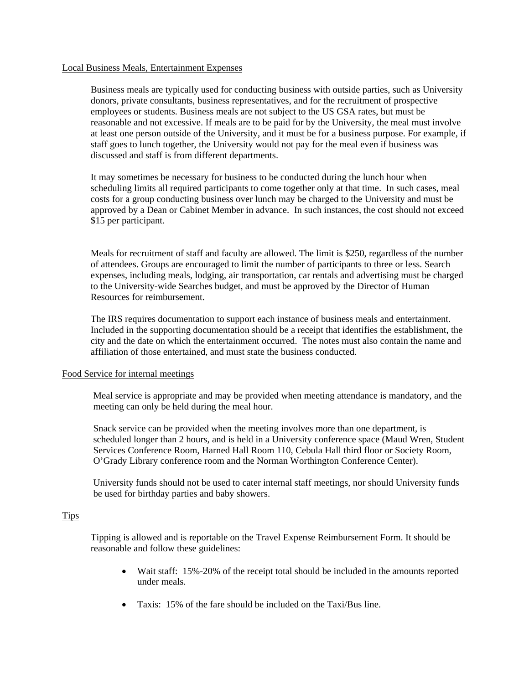#### Local Business Meals, Entertainment Expenses

Business meals are typically used for conducting business with outside parties, such as University donors, private consultants, business representatives, and for the recruitment of prospective employees or students. Business meals are not subject to the US GSA rates, but must be reasonable and not excessive. If meals are to be paid for by the University, the meal must involve at least one person outside of the University, and it must be for a business purpose. For example, if staff goes to lunch together, the University would not pay for the meal even if business was discussed and staff is from different departments.

It may sometimes be necessary for business to be conducted during the lunch hour when scheduling limits all required participants to come together only at that time. In such cases, meal costs for a group conducting business over lunch may be charged to the University and must be approved by a Dean or Cabinet Member in advance. In such instances, the cost should not exceed \$15 per participant.

Meals for recruitment of staff and faculty are allowed. The limit is \$250, regardless of the number of attendees. Groups are encouraged to limit the number of participants to three or less. Search expenses, including meals, lodging, air transportation, car rentals and advertising must be charged to the University-wide Searches budget, and must be approved by the Director of Human Resources for reimbursement.

The IRS requires documentation to support each instance of business meals and entertainment. Included in the supporting documentation should be a receipt that identifies the establishment, the city and the date on which the entertainment occurred. The notes must also contain the name and affiliation of those entertained, and must state the business conducted.

#### Food Service for internal meetings

 Meal service is appropriate and may be provided when meeting attendance is mandatory, and the meeting can only be held during the meal hour.

 Snack service can be provided when the meeting involves more than one department, is scheduled longer than 2 hours, and is held in a University conference space (Maud Wren, Student Services Conference Room, Harned Hall Room 110, Cebula Hall third floor or Society Room, O'Grady Library conference room and the Norman Worthington Conference Center).

University funds should not be used to cater internal staff meetings, nor should University funds be used for birthday parties and baby showers.

#### **Tips**

Tipping is allowed and is reportable on the Travel Expense Reimbursement Form. It should be reasonable and follow these guidelines:

- Wait staff: 15%-20% of the receipt total should be included in the amounts reported under meals.
- Taxis: 15% of the fare should be included on the Taxi/Bus line.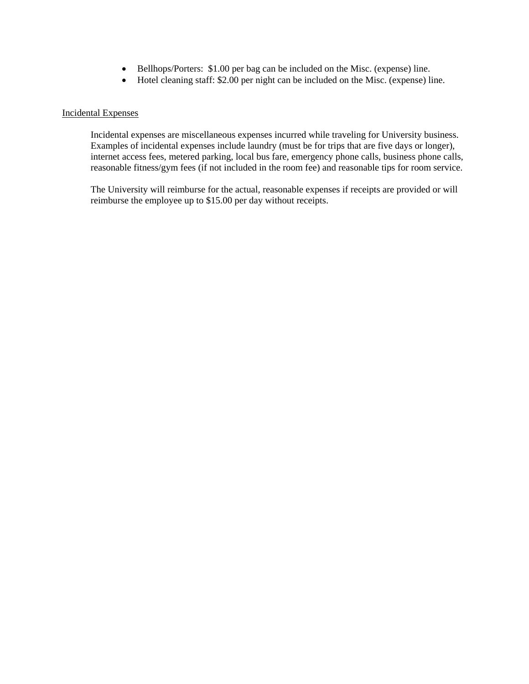- Bellhops/Porters: \$1.00 per bag can be included on the Misc. (expense) line.
- Hotel cleaning staff: \$2.00 per night can be included on the Misc. (expense) line.

#### Incidental Expenses

Incidental expenses are miscellaneous expenses incurred while traveling for University business. Examples of incidental expenses include laundry (must be for trips that are five days or longer), internet access fees, metered parking, local bus fare, emergency phone calls, business phone calls, reasonable fitness/gym fees (if not included in the room fee) and reasonable tips for room service.

The University will reimburse for the actual, reasonable expenses if receipts are provided or will reimburse the employee up to \$15.00 per day without receipts.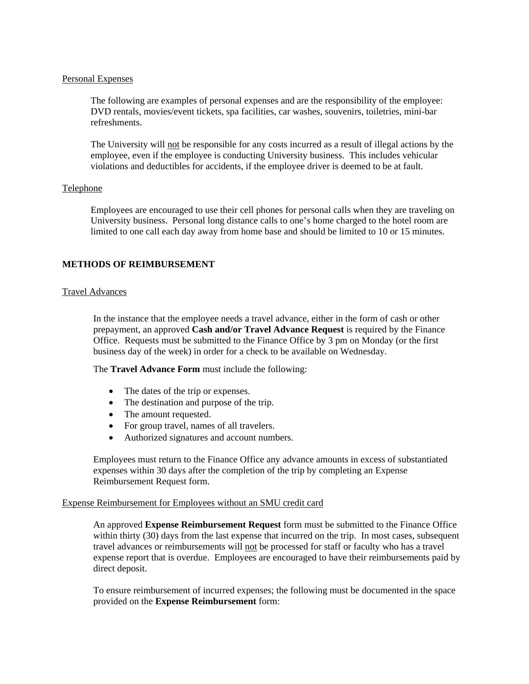#### Personal Expenses

The following are examples of personal expenses and are the responsibility of the employee: DVD rentals, movies/event tickets, spa facilities, car washes, souvenirs, toiletries, mini-bar refreshments.

The University will not be responsible for any costs incurred as a result of illegal actions by the employee, even if the employee is conducting University business. This includes vehicular violations and deductibles for accidents, if the employee driver is deemed to be at fault.

## Telephone

Employees are encouraged to use their cell phones for personal calls when they are traveling on University business. Personal long distance calls to one's home charged to the hotel room are limited to one call each day away from home base and should be limited to 10 or 15 minutes.

## **METHODS OF REIMBURSEMENT**

## Travel Advances

In the instance that the employee needs a travel advance, either in the form of cash or other prepayment, an approved **Cash and/or Travel Advance Request** is required by the Finance Office. Requests must be submitted to the Finance Office by 3 pm on Monday (or the first business day of the week) in order for a check to be available on Wednesday.

The **Travel Advance Form** must include the following:

- The dates of the trip or expenses.
- The destination and purpose of the trip.
- The amount requested.
- For group travel, names of all travelers.
- Authorized signatures and account numbers.

Employees must return to the Finance Office any advance amounts in excess of substantiated expenses within 30 days after the completion of the trip by completing an Expense Reimbursement Request form.

#### Expense Reimbursement for Employees without an SMU credit card

An approved **Expense Reimbursement Request** form must be submitted to the Finance Office within thirty (30) days from the last expense that incurred on the trip. In most cases, subsequent travel advances or reimbursements will not be processed for staff or faculty who has a travel expense report that is overdue. Employees are encouraged to have their reimbursements paid by direct deposit.

To ensure reimbursement of incurred expenses; the following must be documented in the space provided on the **Expense Reimbursement** form: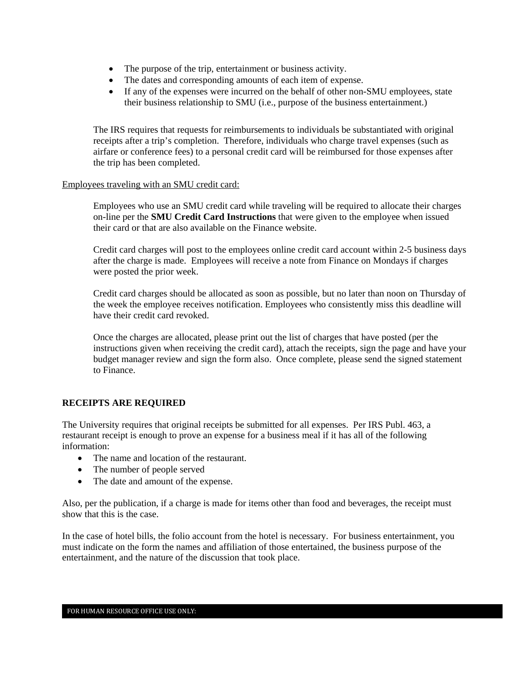- The purpose of the trip, entertainment or business activity.
- The dates and corresponding amounts of each item of expense.
- If any of the expenses were incurred on the behalf of other non-SMU employees, state their business relationship to SMU (i.e., purpose of the business entertainment.)

The IRS requires that requests for reimbursements to individuals be substantiated with original receipts after a trip's completion. Therefore, individuals who charge travel expenses (such as airfare or conference fees) to a personal credit card will be reimbursed for those expenses after the trip has been completed.

### Employees traveling with an SMU credit card:

Employees who use an SMU credit card while traveling will be required to allocate their charges on-line per the **SMU Credit Card Instructions** that were given to the employee when issued their card or that are also available on the Finance website.

Credit card charges will post to the employees online credit card account within 2-5 business days after the charge is made. Employees will receive a note from Finance on Mondays if charges were posted the prior week.

Credit card charges should be allocated as soon as possible, but no later than noon on Thursday of the week the employee receives notification. Employees who consistently miss this deadline will have their credit card revoked.

Once the charges are allocated, please print out the list of charges that have posted (per the instructions given when receiving the credit card), attach the receipts, sign the page and have your budget manager review and sign the form also. Once complete, please send the signed statement to Finance.

## **RECEIPTS ARE REQUIRED**

The University requires that original receipts be submitted for all expenses. Per IRS Publ. 463, a restaurant receipt is enough to prove an expense for a business meal if it has all of the following information:

- The name and location of the restaurant.
- The number of people served
- The date and amount of the expense.

Also, per the publication, if a charge is made for items other than food and beverages, the receipt must show that this is the case.

In the case of hotel bills, the folio account from the hotel is necessary. For business entertainment, you must indicate on the form the names and affiliation of those entertained, the business purpose of the entertainment, and the nature of the discussion that took place.